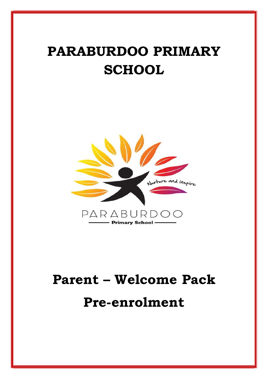# PARABURDOO PRIMARY **SCHOOL**



# Parent – Welcome Pack Pre-enrolment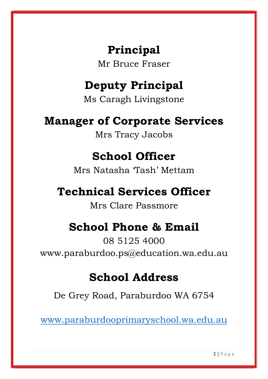# Principal

Mr Bruce Fraser

# Deputy Principal

Ms Caragh Livingstone

# Manager of Corporate Services

Mrs Tracy Jacobs

# School Officer

Mrs Natasha 'Tash' Mettam

# Technical Services Officer

Mrs Clare Passmore

# School Phone & Email

08 5125 4000 www.paraburdoo.ps@education.wa.edu.au

# School Address

De Grey Road, Paraburdoo WA 6754

www.paraburdooprimaryschool.wa.edu.au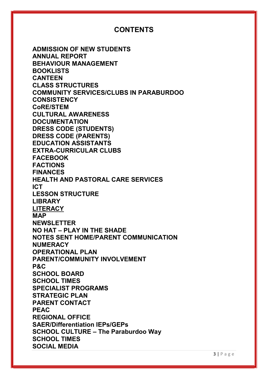# CONTENTS

ADMISSION OF NEW STUDENTS ANNUAL REPORT BEHAVIOUR MANAGEMENT BOOKLISTS **CANTEEN** CLASS STRUCTURES COMMUNITY SERVICES/CLUBS IN PARABURDOO **CONSISTENCY** CoRE/STEM CULTURAL AWARENESS **DOCUMENTATION** DRESS CODE (STUDENTS) DRESS CODE (PARENTS) EDUCATION ASSISTANTS EXTRA-CURRICULAR CLUBS FACEBOOK FACTIONS FINANCES HEALTH AND PASTORAL CARE SERVICES ICT LESSON STRUCTURE LIBRARY **LITERACY** MAP NEWSLETTER NO HAT – PLAY IN THE SHADE NOTES SENT HOME/PARENT COMMUNICATION **NUMERACY** OPERATIONAL PLAN PARENT/COMMUNITY INVOLVEMENT P&C SCHOOL BOARD SCHOOL TIMES SPECIALIST PROGRAMS STRATEGIC PLAN PARENT CONTACT PEAC REGIONAL OFFICE SAER/Differentiation IEPs/GEPs SCHOOL CULTURE – The Paraburdoo Way SCHOOL TIMES SOCIAL MEDIA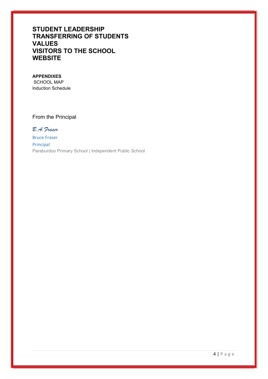# STUDENT LEADERSHIP TRANSFERRING OF STUDENTS VALUES VISITORS TO THE SCHOOL **WEBSITE**

#### APPENDIXES

 SCHOOL MAP Induction Schedule

# From the Principal

B.A.Fraser Bruce Fraser Principal Paraburdoo Primary School | Independent Public School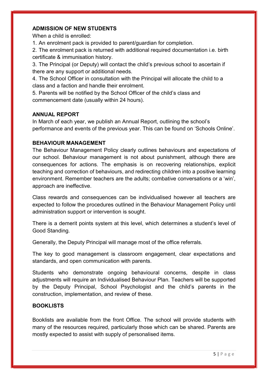# ADMISSION OF NEW STUDENTS

When a child is enrolled:

1. An enrolment pack is provided to parent/guardian for completion.

2. The enrolment pack is returned with additional required documentation i.e. birth certificate & immunisation history.

3. The Principal (or Deputy) will contact the child's previous school to ascertain if there are any support or additional needs.

4. The School Officer in consultation with the Principal will allocate the child to a class and a faction and handle their enrolment.

5. Parents will be notified by the School Officer of the child's class and commencement date (usually within 24 hours).

# ANNUAL REPORT

In March of each year, we publish an Annual Report, outlining the school's performance and events of the previous year. This can be found on 'Schools Online'.

# BEHAVIOUR MANAGEMENT

The Behaviour Management Policy clearly outlines behaviours and expectations of our school. Behaviour management is not about punishment, although there are consequences for actions. The emphasis is on recovering relationships, explicit teaching and correction of behaviours, and redirecting children into a positive learning environment. Remember teachers are the adults; combative conversations or a 'win', approach are ineffective.

Class rewards and consequences can be individualised however all teachers are expected to follow the procedures outlined in the Behaviour Management Policy until administration support or intervention is sought.

There is a demerit points system at this level, which determines a student's level of Good Standing.

Generally, the Deputy Principal will manage most of the office referrals.

The key to good management is classroom engagement, clear expectations and standards, and open communication with parents.

Students who demonstrate ongoing behavioural concerns, despite in class adjustments will require an Individualised Behaviour Plan. Teachers will be supported by the Deputy Principal, School Psychologist and the child's parents in the construction, implementation, and review of these.

# BOOKLISTS

Booklists are available from the front Office. The school will provide students with many of the resources required, particularly those which can be shared. Parents are mostly expected to assist with supply of personalised items.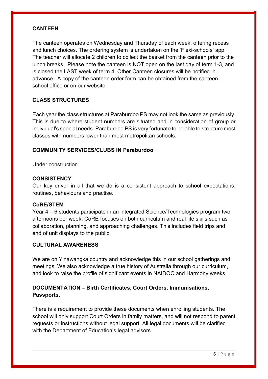## **CANTEEN**

The canteen operates on Wednesday and Thursday of each week, offering recess and lunch choices. The ordering system is undertaken on the 'Flexi-schools' app. The teacher will allocate 2 children to collect the basket from the canteen prior to the lunch breaks. Please note the canteen is NOT open on the last day of term 1-3, and is closed the LAST week of term 4. Other Canteen closures will be notified in advance. A copy of the canteen order form can be obtained from the canteen, school office or on our website.

# CLASS STRUCTURES

Each year the class structures at Paraburdoo PS may not look the same as previously. This is due to where student numbers are situated and in consideration of group or individual's special needs. Paraburdoo PS is very fortunate to be able to structure most classes with numbers lower than most metropolitan schools.

# COMMUNITY SERVICES/CLUBS IN Paraburdoo

Under construction

#### **CONSISTENCY**

Our key driver in all that we do is a consistent approach to school expectations, routines, behaviours and practise.

#### CoRE/STEM

Year 4 – 6 students participate in an integrated Science/Technologies program two afternoons per week. CoRE focuses on both curriculum and real life skills such as collaboration, planning, and approaching challenges. This includes field trips and end of unit displays to the public.

#### CULTURAL AWARENESS

We are on Yinawangka country and acknowledge this in our school gatherings and meetings. We also acknowledge a true history of Australia through our curriculum, and look to raise the profile of significant events in NAIDOC and Harmony weeks.

# DOCUMENTATION – Birth Certificates, Court Orders, Immunisations, Passports,

There is a requirement to provide these documents when enrolling students. The school will only support Court Orders in family matters, and will not respond to parent requests or instructions without legal support. All legal documents will be clarified with the Department of Education's legal advisors.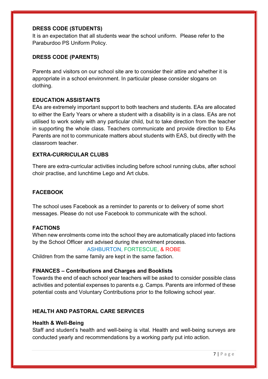# DRESS CODE (STUDENTS)

It is an expectation that all students wear the school uniform. Please refer to the Paraburdoo PS Uniform Policy.

# DRESS CODE (PARENTS)

Parents and visitors on our school site are to consider their attire and whether it is appropriate in a school environment. In particular please consider slogans on clothing.

# EDUCATION ASSISTANTS

EAs are extremely important support to both teachers and students. EAs are allocated to either the Early Years or where a student with a disability is in a class. EAs are not utilised to work solely with any particular child, but to take direction from the teacher in supporting the whole class. Teachers communicate and provide direction to EAs Parents are not to communicate matters about students with EAS, but directly with the classroom teacher.

# EXTRA-CURRICULAR CLUBS

There are extra-curricular activities including before school running clubs, after school choir practise, and lunchtime Lego and Art clubs.

# FACEBOOK

The school uses Facebook as a reminder to parents or to delivery of some short messages. Please do not use Facebook to communicate with the school.

#### FACTIONS

When new enrolments come into the school they are automatically placed into factions by the School Officer and advised during the enrolment process.

# ASHBURTON, FORTESCUE, & ROBE

Children from the same family are kept in the same faction.

#### FINANCES – Contributions and Charges and Booklists

Towards the end of each school year teachers will be asked to consider possible class activities and potential expenses to parents e.g. Camps. Parents are informed of these potential costs and Voluntary Contributions prior to the following school year.

# HEALTH AND PASTORAL CARE SERVICES

#### Health & Well-Being

Staff and student's health and well-being is vital. Health and well-being surveys are conducted yearly and recommendations by a working party put into action.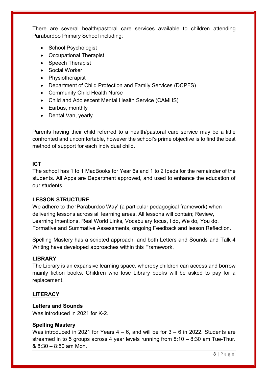There are several health/pastoral care services available to children attending Paraburdoo Primary School including:

- School Psychologist
- Occupational Therapist
- Speech Therapist
- Social Worker
- Physiotherapist
- Department of Child Protection and Family Services (DCPFS)
- Community Child Health Nurse
- Child and Adolescent Mental Health Service (CAMHS)
- Earbus, monthly
- Dental Van, yearly

Parents having their child referred to a health/pastoral care service may be a little confronted and uncomfortable, however the school's prime objective is to find the best method of support for each individual child.

# ICT

The school has 1 to 1 MacBooks for Year 6s and 1 to 2 Ipads for the remainder of the students. All Apps are Department approved, and used to enhance the education of our students.

#### LESSON STRUCTURE

We adhere to the 'Paraburdoo Way' (a particular pedagogical framework) when delivering lessons across all learning areas. All lessons will contain; Review, Learning Intentions, Real World Links, Vocabulary focus, I do, We do, You do, Formative and Summative Assessments, ongoing Feedback and lesson Reflection.

Spelling Mastery has a scripted approach, and both Letters and Sounds and Talk 4 Writing have developed approaches within this Framework.

# LIBRARY

The Library is an expansive learning space, whereby children can access and borrow mainly fiction books. Children who lose Library books will be asked to pay for a replacement.

# **LITERACY**

# Letters and Sounds

Was introduced in 2021 for K-2.

#### Spelling Mastery

Was introduced in 2021 for Years  $4 - 6$ , and will be for  $3 - 6$  in 2022. Students are streamed in to 5 groups across 4 year levels running from 8:10 – 8:30 am Tue-Thur. & 8:30 – 8:50 am Mon.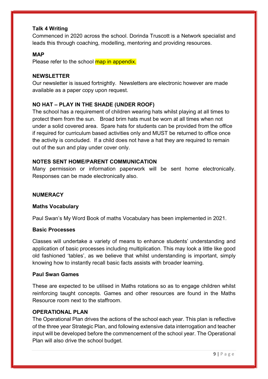# Talk 4 Writing

Commenced in 2020 across the school. Dorinda Truscott is a Network specialist and leads this through coaching, modelling, mentoring and providing resources.

#### **MAP**

Please refer to the school map in appendix.

#### NEWSLETTER

Our newsletter is issued fortnightly. Newsletters are electronic however are made available as a paper copy upon request.

# NO HAT – PLAY IN THE SHADE (UNDER ROOF)

The school has a requirement of children wearing hats whilst playing at all times to protect them from the sun. Broad brim hats must be worn at all times when not under a solid covered area. Spare hats for students can be provided from the office if required for curriculum based activities only and MUST be returned to office once the activity is concluded. If a child does not have a hat they are required to remain out of the sun and play under cover only.

# NOTES SENT HOME/PARENT COMMUNICATION

Many permission or information paperwork will be sent home electronically. Responses can be made electronically also.

#### **NUMERACY**

#### Maths Vocabulary

Paul Swan's My Word Book of maths Vocabulary has been implemented in 2021.

#### Basic Processes

Classes will undertake a variety of means to enhance students' understanding and application of basic processes including multiplication. This may look a little like good old fashioned 'tables', as we believe that whilst understanding is important, simply knowing how to instantly recall basic facts assists with broader learning.

#### Paul Swan Games

These are expected to be utilised in Maths rotations so as to engage children whilst reinforcing taught concepts. Games and other resources are found in the Maths Resource room next to the staffroom.

#### **OPERATIONAL PLAN**

The Operational Plan drives the actions of the school each year. This plan is reflective of the three year Strategic Plan, and following extensive data interrogation and teacher input will be developed before the commencement of the school year. The Operational Plan will also drive the school budget.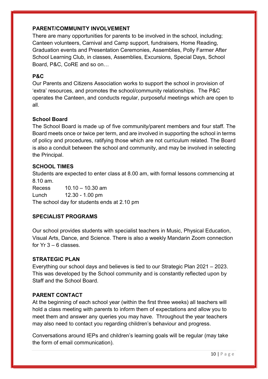# PARENT/COMMUNITY INVOLVEMENT

There are many opportunities for parents to be involved in the school, including; Canteen volunteers, Carnival and Camp support, fundraisers, Home Reading, Graduation events and Presentation Ceremonies, Assemblies, Polly Farmer After School Learning Club, in classes, Assemblies, Excursions, Special Days, School Board, P&C, CoRE and so on…

# P&C

Our Parents and Citizens Association works to support the school in provision of 'extra' resources, and promotes the school/community relationships. The P&C operates the Canteen, and conducts regular, purposeful meetings which are open to all.

# School Board

The School Board is made up of five community/parent members and four staff. The Board meets once or twice per term, and are involved in supporting the school in terms of policy and procedures, ratifying those which are not curriculum related. The Board is also a conduit between the school and community, and may be involved in selecting the Principal.

# SCHOOL TIMES

Students are expected to enter class at 8.00 am, with formal lessons commencing at 8.10 am.

Recess 10.10 – 10.30 am Lunch 12.30 - 1.00 pm The school day for students ends at 2.10 pm

# SPECIALIST PROGRAMS

Our school provides students with specialist teachers in Music, Physical Education, Visual Arts, Dance, and Science. There is also a weekly Mandarin Zoom connection for  $Yr$  3 – 6 classes.

#### STRATEGIC PLAN

Everything our school days and believes is tied to our Strategic Plan 2021 – 2023. This was developed by the School community and is constantly reflected upon by Staff and the School Board.

# PARENT CONTACT

At the beginning of each school year (within the first three weeks) all teachers will hold a class meeting with parents to inform them of expectations and allow you to meet them and answer any queries you may have. Throughout the year teachers may also need to contact you regarding children's behaviour and progress.

Conversations around IEPs and children's learning goals will be regular (may take the form of email communication).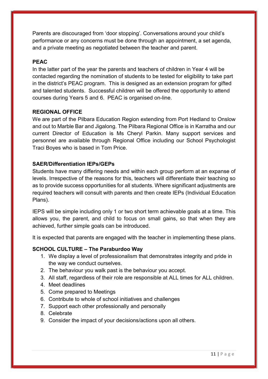Parents are discouraged from 'door stopping'. Conversations around your child's performance or any concerns must be done through an appointment, a set agenda, and a private meeting as negotiated between the teacher and parent.

# PEAC

In the latter part of the year the parents and teachers of children in Year 4 will be contacted regarding the nomination of students to be tested for eligibility to take part in the district's PEAC program. This is designed as an extension program for gifted and talented students. Successful children will be offered the opportunity to attend courses during Years 5 and 6. PEAC is organised on-line.

# REGIONAL OFFICE

We are part of the Pilbara Education Region extending from Port Hedland to Onslow and out to Marble Bar and Jigalong. The Pilbara Regional Office is in Karratha and our current Director of Education is Ms Cheryl Parkin. Many support services and personnel are available through Regional Office including our School Psychologist Traci Boyes who is based in Tom Price.

# SAER/Differentiation IEPs/GEPs

Students have many differing needs and within each group perform at an expanse of levels. Irrespective of the reasons for this, teachers will differentiate their teaching so as to provide success opportunities for all students. Where significant adjustments are required teachers will consult with parents and then create IEPs (Individual Education Plans).

IEPS will be simple including only 1 or two short term achievable goals at a time. This allows you, the parent, and child to focus on small gains, so that when they are achieved, further simple goals can be introduced.

It is expected that parents are engaged with the teacher in implementing these plans.

#### SCHOOL CULTURE – The Paraburdoo Way

- 1. We display a level of professionalism that demonstrates integrity and pride in the way we conduct ourselves.
- 2. The behaviour you walk past is the behaviour you accept.
- 3. All staff, regardless of their role are responsible at ALL times for ALL children.
- 4. Meet deadlines
- 5. Come prepared to Meetings
- 6. Contribute to whole of school initiatives and challenges
- 7. Support each other professionally and personally
- 8. Celebrate
- 9. Consider the impact of your decisions/actions upon all others.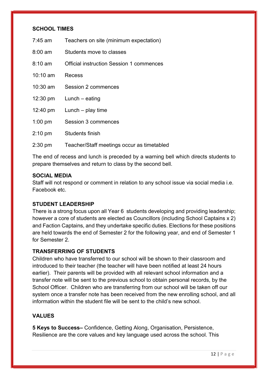#### SCHOOL TIMES

| 7:45 am            | Teachers on site (minimum expectation)          |
|--------------------|-------------------------------------------------|
| $8:00 \text{ am}$  | Students move to classes                        |
| $8:10 \text{ am}$  | <b>Official instruction Session 1 commences</b> |
| $10:10 \text{ am}$ | Recess                                          |
| $10:30$ am         | Session 2 commences                             |
|                    | $12:30 \text{ pm}$ Lunch – eating               |
| 12:40 pm           | Lunch $-$ play time                             |
| $1:00$ pm          | <b>Session 3 commences</b>                      |
| $2:10 \text{ pm}$  | Students finish                                 |
| $2:30$ pm          | Teacher/Staff meetings occur as timetabled      |

The end of recess and lunch is preceded by a warning bell which directs students to prepare themselves and return to class by the second bell.

#### SOCIAL MEDIA

Staff will not respond or comment in relation to any school issue via social media i.e. Facebook etc.

# STUDENT LEADERSHIP

There is a strong focus upon all Year 6 students developing and providing leadership; however a core of students are elected as Councillors (including School Captains x 2) and Faction Captains, and they undertake specific duties. Elections for these positions are held towards the end of Semester 2 for the following year, and end of Semester 1 for Semester 2.

## TRANSFERRING OF STUDENTS

Children who have transferred to our school will be shown to their classroom and introduced to their teacher (the teacher will have been notified at least 24 hours earlier). Their parents will be provided with all relevant school information and a transfer note will be sent to the previous school to obtain personal records, by the School Officer. Children who are transferring from our school will be taken off our system once a transfer note has been received from the new enrolling school, and all information within the student file will be sent to the child's new school.

#### VALUES

5 Keys to Success– Confidence, Getting Along, Organisation, Persistence, Resilience are the core values and key language used across the school. This